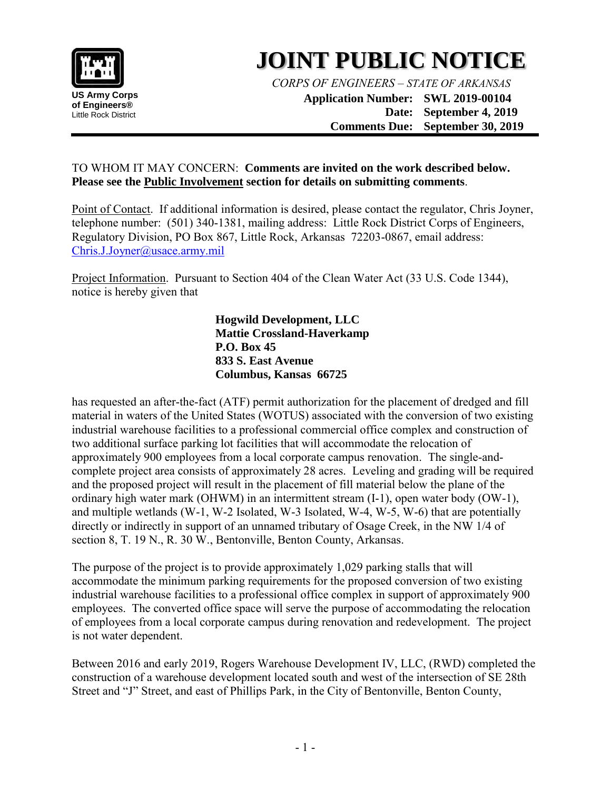

## **JOINT PUBLIC NOTICE**

*CORPS OF ENGINEERS – STATE OF ARKANSAS*

**Application Number: SWL 2019-00104 Date: September 4, 2019 Comments Due: September 30, 2019**

## TO WHOM IT MAY CONCERN: **Comments are invited on the work described below. Please see the Public Involvement section for details on submitting comments**.

Point of Contact. If additional information is desired, please contact the regulator, Chris Joyner, telephone number: (501) 340-1381, mailing address: Little Rock District Corps of Engineers, Regulatory Division, PO Box 867, Little Rock, Arkansas 72203-0867, email address: Chris.J.Joyner@usace.army.mil

Project Information. Pursuant to Section 404 of the Clean Water Act (33 U.S. Code 1344), notice is hereby given that

> **Hogwild Development, LLC Mattie Crossland-Haverkamp P.O. Box 45 833 S. East Avenue Columbus, Kansas 66725**

has requested an after-the-fact (ATF) permit authorization for the placement of dredged and fill material in waters of the United States (WOTUS) associated with the conversion of two existing industrial warehouse facilities to a professional commercial office complex and construction of two additional surface parking lot facilities that will accommodate the relocation of approximately 900 employees from a local corporate campus renovation. The single-andcomplete project area consists of approximately 28 acres. Leveling and grading will be required and the proposed project will result in the placement of fill material below the plane of the ordinary high water mark (OHWM) in an intermittent stream (I-1), open water body (OW-1), and multiple wetlands (W-1, W-2 Isolated, W-3 Isolated, W-4, W-5, W-6) that are potentially directly or indirectly in support of an unnamed tributary of Osage Creek, in the NW 1/4 of section 8, T. 19 N., R. 30 W., Bentonville, Benton County, Arkansas.

The purpose of the project is to provide approximately 1,029 parking stalls that will accommodate the minimum parking requirements for the proposed conversion of two existing industrial warehouse facilities to a professional office complex in support of approximately 900 employees. The converted office space will serve the purpose of accommodating the relocation of employees from a local corporate campus during renovation and redevelopment. The project is not water dependent.

Between 2016 and early 2019, Rogers Warehouse Development IV, LLC, (RWD) completed the construction of a warehouse development located south and west of the intersection of SE 28th Street and "J" Street, and east of Phillips Park, in the City of Bentonville, Benton County,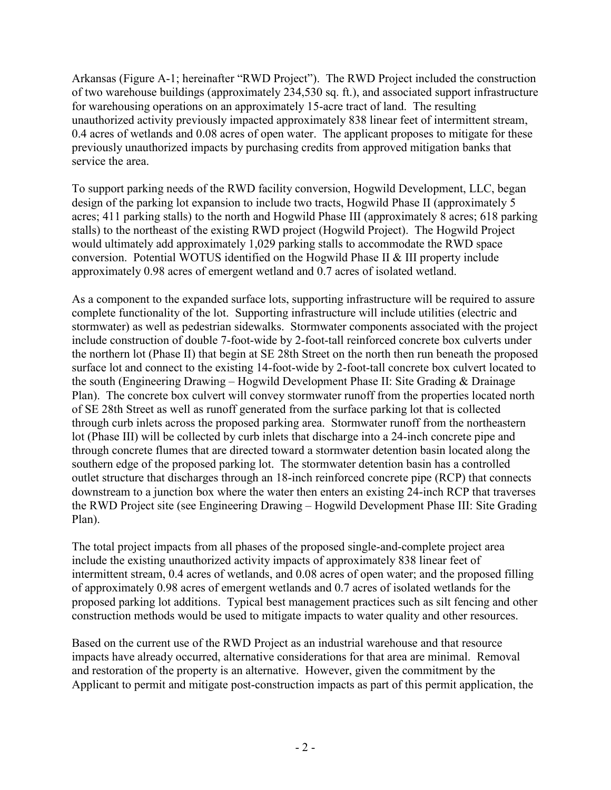Arkansas (Figure A-1; hereinafter "RWD Project"). The RWD Project included the construction of two warehouse buildings (approximately 234,530 sq. ft.), and associated support infrastructure for warehousing operations on an approximately 15-acre tract of land. The resulting unauthorized activity previously impacted approximately 838 linear feet of intermittent stream, 0.4 acres of wetlands and 0.08 acres of open water. The applicant proposes to mitigate for these previously unauthorized impacts by purchasing credits from approved mitigation banks that service the area.

To support parking needs of the RWD facility conversion, Hogwild Development, LLC, began design of the parking lot expansion to include two tracts, Hogwild Phase II (approximately 5 acres; 411 parking stalls) to the north and Hogwild Phase III (approximately 8 acres; 618 parking stalls) to the northeast of the existing RWD project (Hogwild Project). The Hogwild Project would ultimately add approximately 1,029 parking stalls to accommodate the RWD space conversion. Potential WOTUS identified on the Hogwild Phase II & III property include approximately 0.98 acres of emergent wetland and 0.7 acres of isolated wetland.

As a component to the expanded surface lots, supporting infrastructure will be required to assure complete functionality of the lot. Supporting infrastructure will include utilities (electric and stormwater) as well as pedestrian sidewalks. Stormwater components associated with the project include construction of double 7-foot-wide by 2-foot-tall reinforced concrete box culverts under the northern lot (Phase II) that begin at SE 28th Street on the north then run beneath the proposed surface lot and connect to the existing 14-foot-wide by 2-foot-tall concrete box culvert located to the south (Engineering Drawing – Hogwild Development Phase II: Site Grading & Drainage Plan). The concrete box culvert will convey stormwater runoff from the properties located north of SE 28th Street as well as runoff generated from the surface parking lot that is collected through curb inlets across the proposed parking area. Stormwater runoff from the northeastern lot (Phase III) will be collected by curb inlets that discharge into a 24-inch concrete pipe and through concrete flumes that are directed toward a stormwater detention basin located along the southern edge of the proposed parking lot. The stormwater detention basin has a controlled outlet structure that discharges through an 18-inch reinforced concrete pipe (RCP) that connects downstream to a junction box where the water then enters an existing 24-inch RCP that traverses the RWD Project site (see Engineering Drawing – Hogwild Development Phase III: Site Grading Plan).

The total project impacts from all phases of the proposed single-and-complete project area include the existing unauthorized activity impacts of approximately 838 linear feet of intermittent stream, 0.4 acres of wetlands, and 0.08 acres of open water; and the proposed filling of approximately 0.98 acres of emergent wetlands and 0.7 acres of isolated wetlands for the proposed parking lot additions. Typical best management practices such as silt fencing and other construction methods would be used to mitigate impacts to water quality and other resources.

Based on the current use of the RWD Project as an industrial warehouse and that resource impacts have already occurred, alternative considerations for that area are minimal. Removal and restoration of the property is an alternative. However, given the commitment by the Applicant to permit and mitigate post-construction impacts as part of this permit application, the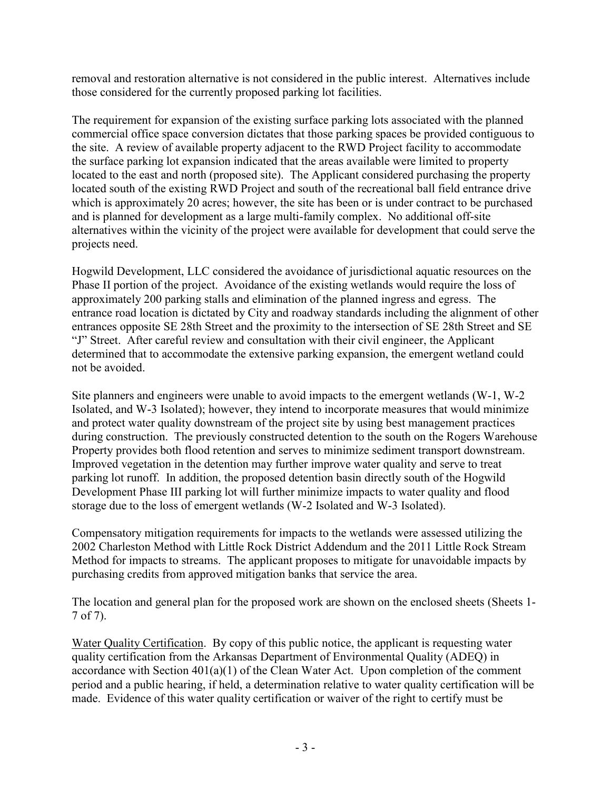removal and restoration alternative is not considered in the public interest. Alternatives include those considered for the currently proposed parking lot facilities.

The requirement for expansion of the existing surface parking lots associated with the planned commercial office space conversion dictates that those parking spaces be provided contiguous to the site. A review of available property adjacent to the RWD Project facility to accommodate the surface parking lot expansion indicated that the areas available were limited to property located to the east and north (proposed site). The Applicant considered purchasing the property located south of the existing RWD Project and south of the recreational ball field entrance drive which is approximately 20 acres; however, the site has been or is under contract to be purchased and is planned for development as a large multi-family complex. No additional off-site alternatives within the vicinity of the project were available for development that could serve the projects need.

Hogwild Development, LLC considered the avoidance of jurisdictional aquatic resources on the Phase II portion of the project. Avoidance of the existing wetlands would require the loss of approximately 200 parking stalls and elimination of the planned ingress and egress. The entrance road location is dictated by City and roadway standards including the alignment of other entrances opposite SE 28th Street and the proximity to the intersection of SE 28th Street and SE "J" Street. After careful review and consultation with their civil engineer, the Applicant determined that to accommodate the extensive parking expansion, the emergent wetland could not be avoided.

Site planners and engineers were unable to avoid impacts to the emergent wetlands (W-1, W-2 Isolated, and W-3 Isolated); however, they intend to incorporate measures that would minimize and protect water quality downstream of the project site by using best management practices during construction. The previously constructed detention to the south on the Rogers Warehouse Property provides both flood retention and serves to minimize sediment transport downstream. Improved vegetation in the detention may further improve water quality and serve to treat parking lot runoff. In addition, the proposed detention basin directly south of the Hogwild Development Phase III parking lot will further minimize impacts to water quality and flood storage due to the loss of emergent wetlands (W-2 Isolated and W-3 Isolated).

Compensatory mitigation requirements for impacts to the wetlands were assessed utilizing the 2002 Charleston Method with Little Rock District Addendum and the 2011 Little Rock Stream Method for impacts to streams. The applicant proposes to mitigate for unavoidable impacts by purchasing credits from approved mitigation banks that service the area.

The location and general plan for the proposed work are shown on the enclosed sheets (Sheets 1- 7 of 7).

Water Quality Certification. By copy of this public notice, the applicant is requesting water quality certification from the Arkansas Department of Environmental Quality (ADEQ) in accordance with Section  $401(a)(1)$  of the Clean Water Act. Upon completion of the comment period and a public hearing, if held, a determination relative to water quality certification will be made. Evidence of this water quality certification or waiver of the right to certify must be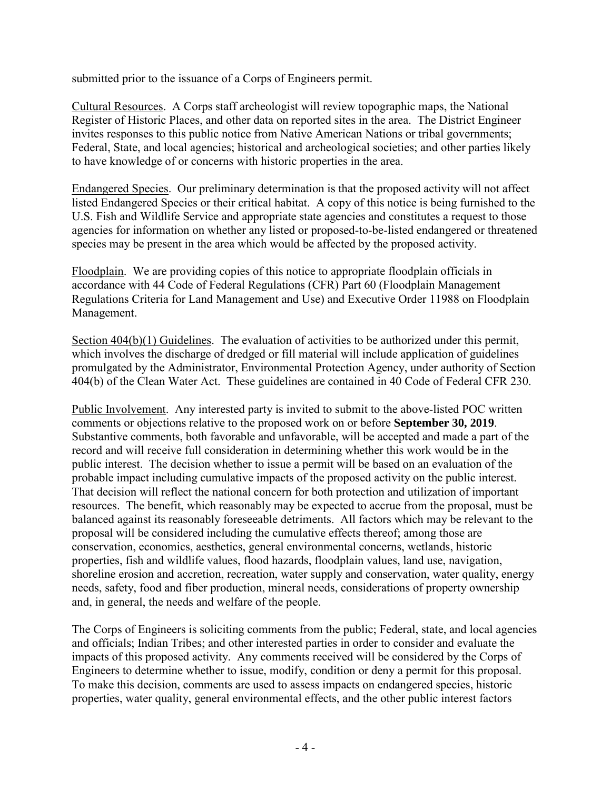submitted prior to the issuance of a Corps of Engineers permit.

Cultural Resources. A Corps staff archeologist will review topographic maps, the National Register of Historic Places, and other data on reported sites in the area. The District Engineer invites responses to this public notice from Native American Nations or tribal governments; Federal, State, and local agencies; historical and archeological societies; and other parties likely to have knowledge of or concerns with historic properties in the area.

Endangered Species. Our preliminary determination is that the proposed activity will not affect listed Endangered Species or their critical habitat. A copy of this notice is being furnished to the U.S. Fish and Wildlife Service and appropriate state agencies and constitutes a request to those agencies for information on whether any listed or proposed-to-be-listed endangered or threatened species may be present in the area which would be affected by the proposed activity.

Floodplain. We are providing copies of this notice to appropriate floodplain officials in accordance with 44 Code of Federal Regulations (CFR) Part 60 (Floodplain Management Regulations Criteria for Land Management and Use) and Executive Order 11988 on Floodplain Management.

Section 404(b)(1) Guidelines. The evaluation of activities to be authorized under this permit, which involves the discharge of dredged or fill material will include application of guidelines promulgated by the Administrator, Environmental Protection Agency, under authority of Section 404(b) of the Clean Water Act. These guidelines are contained in 40 Code of Federal CFR 230.

Public Involvement. Any interested party is invited to submit to the above-listed POC written comments or objections relative to the proposed work on or before **September 30, 2019**. Substantive comments, both favorable and unfavorable, will be accepted and made a part of the record and will receive full consideration in determining whether this work would be in the public interest. The decision whether to issue a permit will be based on an evaluation of the probable impact including cumulative impacts of the proposed activity on the public interest. That decision will reflect the national concern for both protection and utilization of important resources. The benefit, which reasonably may be expected to accrue from the proposal, must be balanced against its reasonably foreseeable detriments. All factors which may be relevant to the proposal will be considered including the cumulative effects thereof; among those are conservation, economics, aesthetics, general environmental concerns, wetlands, historic properties, fish and wildlife values, flood hazards, floodplain values, land use, navigation, shoreline erosion and accretion, recreation, water supply and conservation, water quality, energy needs, safety, food and fiber production, mineral needs, considerations of property ownership and, in general, the needs and welfare of the people.

The Corps of Engineers is soliciting comments from the public; Federal, state, and local agencies and officials; Indian Tribes; and other interested parties in order to consider and evaluate the impacts of this proposed activity. Any comments received will be considered by the Corps of Engineers to determine whether to issue, modify, condition or deny a permit for this proposal. To make this decision, comments are used to assess impacts on endangered species, historic properties, water quality, general environmental effects, and the other public interest factors